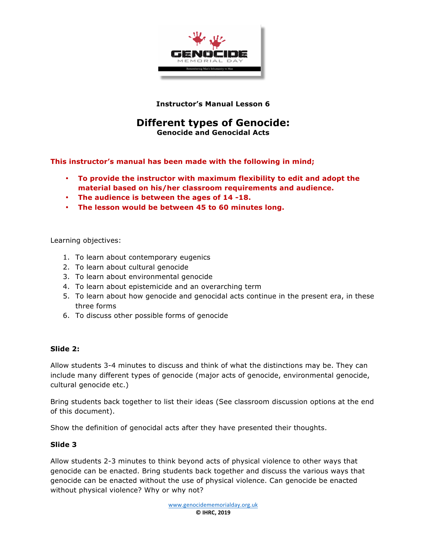

**Instructor's Manual Lesson 6**

# **Different types of Genocide:**

**Genocide and Genocidal Acts**

**This instructor's manual has been made with the following in mind;**

- **To provide the instructor with maximum flexibility to edit and adopt the material based on his/her classroom requirements and audience.**
- **The audience is between the ages of 14 -18.**
- **The lesson would be between 45 to 60 minutes long.**

Learning objectives:

- 1. To learn about contemporary eugenics
- 2. To learn about cultural genocide
- 3. To learn about environmental genocide
- 4. To learn about epistemicide and an overarching term
- 5. To learn about how genocide and genocidal acts continue in the present era, in these three forms
- 6. To discuss other possible forms of genocide

#### **Slide 2:**

Allow students 3-4 minutes to discuss and think of what the distinctions may be. They can include many different types of genocide (major acts of genocide, environmental genocide, cultural genocide etc.)

Bring students back together to list their ideas (See classroom discussion options at the end of this document).

Show the definition of genocidal acts after they have presented their thoughts.

#### **Slide 3**

Allow students 2-3 minutes to think beyond acts of physical violence to other ways that genocide can be enacted. Bring students back together and discuss the various ways that genocide can be enacted without the use of physical violence. Can genocide be enacted without physical violence? Why or why not?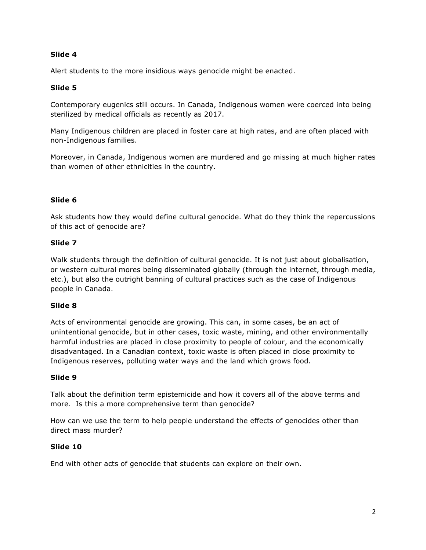## **Slide 4**

Alert students to the more insidious ways genocide might be enacted.

# **Slide 5**

Contemporary eugenics still occurs. In Canada, Indigenous women were coerced into being sterilized by medical officials as recently as 2017.

Many Indigenous children are placed in foster care at high rates, and are often placed with non-Indigenous families.

Moreover, in Canada, Indigenous women are murdered and go missing at much higher rates than women of other ethnicities in the country.

# **Slide 6**

Ask students how they would define cultural genocide. What do they think the repercussions of this act of genocide are?

## **Slide 7**

Walk students through the definition of cultural genocide. It is not just about globalisation, or western cultural mores being disseminated globally (through the internet, through media, etc.), but also the outright banning of cultural practices such as the case of Indigenous people in Canada.

## **Slide 8**

Acts of environmental genocide are growing. This can, in some cases, be an act of unintentional genocide, but in other cases, toxic waste, mining, and other environmentally harmful industries are placed in close proximity to people of colour, and the economically disadvantaged. In a Canadian context, toxic waste is often placed in close proximity to Indigenous reserves, polluting water ways and the land which grows food.

## **Slide 9**

Talk about the definition term epistemicide and how it covers all of the above terms and more. Is this a more comprehensive term than genocide?

How can we use the term to help people understand the effects of genocides other than direct mass murder?

## **Slide 10**

End with other acts of genocide that students can explore on their own.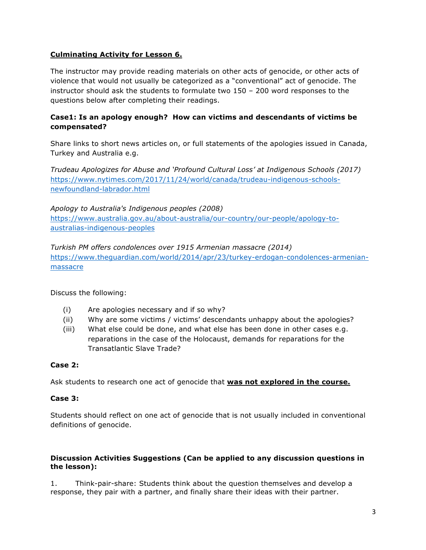## **Culminating Activity for Lesson 6.**

The instructor may provide reading materials on other acts of genocide, or other acts of violence that would not usually be categorized as a "conventional" act of genocide. The instructor should ask the students to formulate two 150 – 200 word responses to the questions below after completing their readings.

## **Case1: Is an apology enough? How can victims and descendants of victims be compensated?**

Share links to short news articles on, or full statements of the apologies issued in Canada, Turkey and Australia e.g.

*Trudeau Apologizes for Abuse and 'Profound Cultural Loss' at Indigenous Schools (2017)* https://www.nytimes.com/2017/11/24/world/canada/trudeau-indigenous-schoolsnewfoundland-labrador.html

*Apology to Australia's Indigenous peoples (2008)* https://www.australia.gov.au/about-australia/our-country/our-people/apology-toaustralias-indigenous-peoples

*Turkish PM offers condolences over 1915 Armenian massacre (2014)* https://www.theguardian.com/world/2014/apr/23/turkey-erdogan-condolences-armenianmassacre

Discuss the following:

- (i) Are apologies necessary and if so why?
- (ii) Why are some victims / victims' descendants unhappy about the apologies?
- (iii) What else could be done, and what else has been done in other cases e.g. reparations in the case of the Holocaust, demands for reparations for the Transatlantic Slave Trade?

## **Case 2:**

Ask students to research one act of genocide that **was not explored in the course.**

#### **Case 3:**

Students should reflect on one act of genocide that is not usually included in conventional definitions of genocide.

#### **Discussion Activities Suggestions (Can be applied to any discussion questions in the lesson):**

1. Think-pair-share: Students think about the question themselves and develop a response, they pair with a partner, and finally share their ideas with their partner.